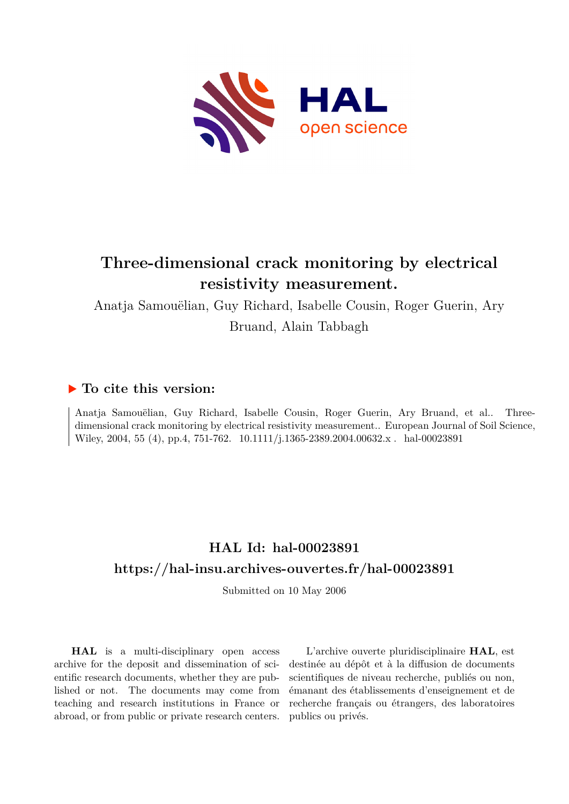

## **Three-dimensional crack monitoring by electrical resistivity measurement.**

Anatja Samouëlian, Guy Richard, Isabelle Cousin, Roger Guerin, Ary

Bruand, Alain Tabbagh

## **To cite this version:**

Anatja Samouëlian, Guy Richard, Isabelle Cousin, Roger Guerin, Ary Bruand, et al.. Threedimensional crack monitoring by electrical resistivity measurement.. European Journal of Soil Science, Wiley, 2004, 55 (4), pp.4, 751-762.  $10.1111/j.1365-2389.2004.00632.x$ . hal-00023891

## **HAL Id: hal-00023891 <https://hal-insu.archives-ouvertes.fr/hal-00023891>**

Submitted on 10 May 2006

**HAL** is a multi-disciplinary open access archive for the deposit and dissemination of scientific research documents, whether they are published or not. The documents may come from teaching and research institutions in France or abroad, or from public or private research centers.

L'archive ouverte pluridisciplinaire **HAL**, est destinée au dépôt et à la diffusion de documents scientifiques de niveau recherche, publiés ou non, émanant des établissements d'enseignement et de recherche français ou étrangers, des laboratoires publics ou privés.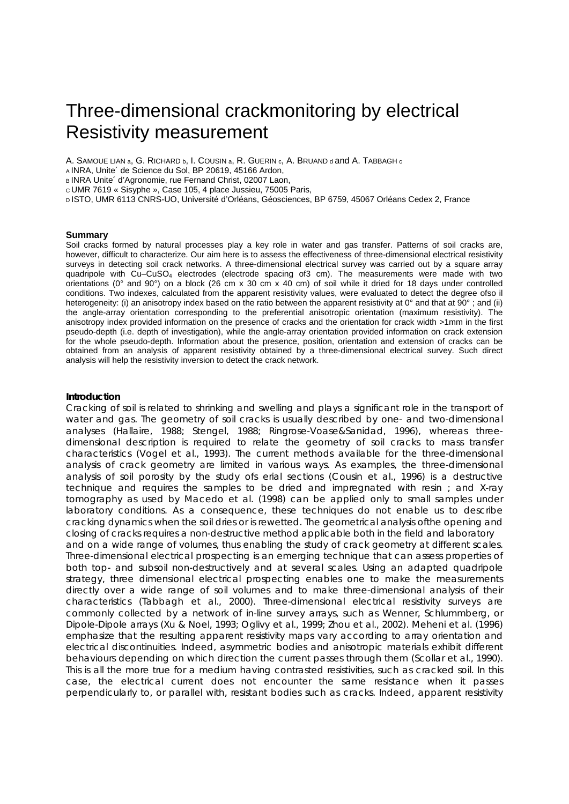# Three-dimensional crackmonitoring by electrical Resistivity measurement

A. SAMOUE LIAN a, G. RICHARD b, I. COUSIN a, R. GUERIN c, A. BRUAND d and A. TABBAGH c

A INRA, Unite´ de Science du Sol, BP 20619, 45166 Ardon,

B INRA Unite' d'Agronomie, rue Fernand Christ, 02007 Laon,

c UMR 7619 « Sisyphe », Case 105, 4 place Jussieu, 75005 Paris,

D ISTO, UMR 6113 CNRS-UO, Université d'Orléans, Géosciences, BP 6759, 45067 Orléans Cedex 2, France

#### **Summary**

Soil cracks formed by natural processes play a key role in water and gas transfer. Patterns of soil cracks are, however, difficult to characterize. Our aim here is to assess the effectiveness of three-dimensional electrical resistivity surveys in detecting soil crack networks. A three-dimensional electrical survey was carried out by a square array quadripole with Cu–CuSO4 electrodes (electrode spacing of3 cm). The measurements were made with two orientations (0° and 90°) on a block (26 cm x 30 cm x 40 cm) of soil while it dried for 18 days under controlled conditions. Two indexes, calculated from the apparent resistivity values, were evaluated to detect the degree ofso il heterogeneity: (i) an anisotropy index based on the ratio between the apparent resistivity at  $0^\circ$  and that at  $90^\circ$ ; and (ii) the angle-array orientation corresponding to the preferential anisotropic orientation (maximum resistivity). The anisotropy index provided information on the presence of cracks and the orientation for crack width >1mm in the first pseudo-depth (i.e. depth of investigation), while the angle-array orientation provided information on crack extension for the whole pseudo-depth. Information about the presence, position, orientation and extension of cracks can be obtained from an analysis of apparent resistivity obtained by a three-dimensional electrical survey. Such direct analysis will help the resistivity inversion to detect the crack network.

#### **Introduction**

Cracking of soil is related to shrinking and swelling and plays a significant role in the transport of water and gas. The geometry of soil cracks is usually described by one- and two-dimensional analyses (Hallaire, 1988; Stengel, 1988; Ringrose-Voase&Sanidad, 1996), whereas threedimensional description is required to relate the geometry of soil cracks to mass transfer characteristics (Vogel et al., 1993). The current methods available for the three-dimensional analysis of crack geometry are limited in various ways. As examples, the three-dimensional analysis of soil porosity by the study ofs erial sections (Cousin et al., 1996) is a destructive technique and requires the samples to be dried and impregnated with resin ; and X-ray tomography as used by Macedo et al. (1998) can be applied only to small samples under laboratory conditions. As a consequence, these techniques do not enable us to describe cracking dynamics when the soil dries or is rewetted. The geometrical analysis ofthe opening and closing of cracks requires a non-destructive method applicable both in the field and laboratory and on a wide range of volumes, thus enabling the study of crack geometry at different scales. Three-dimensional electrical prospecting is an emerging technique that can assess properties of both top- and subsoil non-destructively and at several scales. Using an adapted quadripole strategy, three dimensional electrical prospecting enables one to make the measurements directly over a wide range of soil volumes and to make three-dimensional analysis of their characteristics (Tabbagh et al., 2000). Three-dimensional electrical resistivity surveys are commonly collected by a network of in-line survey arrays, such as Wenner, Schlummberg, or Dipole-Dipole arrays (Xu & Noel, 1993; Oglivy et al., 1999; Zhou et al., 2002). Meheni et al. (1996) emphasize that the resulting apparent resistivity maps vary according to array orientation and electrical discontinuities. Indeed, asymmetric bodies and anisotropic materials exhibit different behaviours depending on which direction the current passes through them (Scollar et al., 1990). This is all the more true for a medium having contrasted resistivities, such as cracked soil. In this case, the electrical current does not encounter the same resistance when it passes perpendicularly to, or parallel with, resistant bodies such as cracks. Indeed, apparent resistivity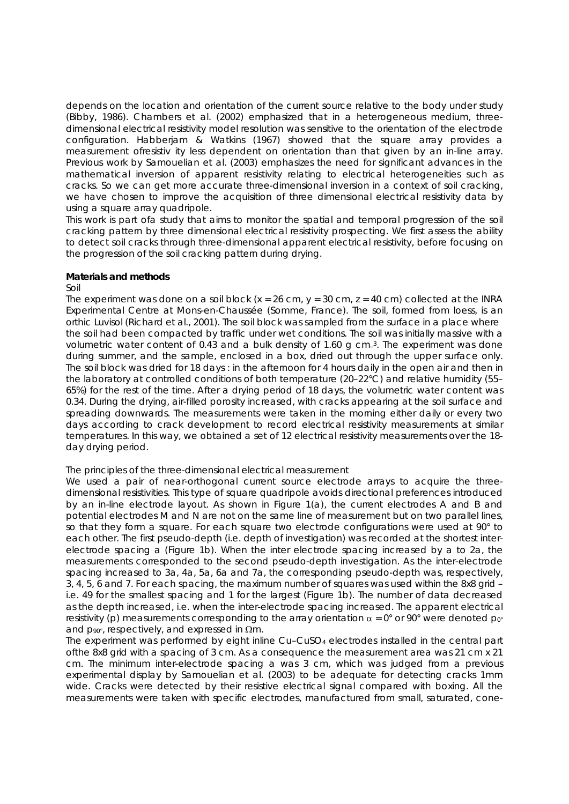depends on the location and orientation of the current source relative to the body under study (Bibby, 1986). Chambers et al. (2002) emphasized that in a heterogeneous medium, threedimensional electrical resistivity model resolution was sensitive to the orientation of the electrode configuration. Habberjam & Watkins (1967) showed that the square array provides a measurement ofresistiv ity less dependent on orientation than that given by an in-line array. Previous work by Samouelian et al. (2003) emphasizes the need for significant advances in the mathematical inversion of apparent resistivity relating to electrical heterogeneities such as cracks. So we can get more accurate three-dimensional inversion in a context of soil cracking, we have chosen to improve the acquisition of three dimensional electrical resistivity data by using a square array quadripole.

This work is part ofa study that aims to monitor the spatial and temporal progression of the soil cracking pattern by three dimensional electrical resistivity prospecting. We first assess the ability to detect soil cracks through three-dimensional apparent electrical resistivity, before focusing on the progression of the soil cracking pattern during drying.

## **Materials and methods**

### *Soil*

The experiment was done on a soil block  $(x = 26$  cm,  $y = 30$  cm,  $z = 40$  cm) collected at the INRA Experimental Centre at Mons-en-Chaussée (Somme, France). The soil, formed from loess, is an orthic Luvisol (Richard et al., 2001). The soil block was sampled from the surface in a place where the soil had been compacted by traffic under wet conditions. The soil was initially massive with a volumetric water content of 0.43 and a bulk density of 1.60 g cm\_3. The experiment was done during summer, and the sample, enclosed in a box, dried out through the upper surface only. The soil block was dried for 18 days : in the afternoon for 4 hours daily in the open air and then in the laboratory at controlled conditions of both temperature (20–22°C) and relative humidity (55– 65%) for the rest of the time. After a drying period of 18 days, the volumetric water content was 0.34. During the drying, air-filled porosity increased, with cracks appearing at the soil surface and spreading downwards. The measurements were taken in the morning either daily or every two days according to crack development to record electrical resistivity measurements at similar temperatures. In this way, we obtained a set of 12 electrical resistivity measurements over the 18 day drying period.

## *The principles of the three-dimensional electrical measurement*

We used a pair of near-orthogonal current source electrode arrays to acquire the threedimensional resistivities. This type of square quadripole avoids directional preferences introduced by an in-line electrode layout. As shown in Figure 1(a), the current electrodes A and B and potential electrodes M and N are not on the same line of measurement but on two parallel lines, so that they form a square. For each square two electrode configurations were used at 90° to each other. The first pseudo-depth (i.e. depth of investigation) was recorded at the shortest interelectrode spacing a (Figure 1b). When the inter electrode spacing increased by a to 2a, the measurements corresponded to the second pseudo-depth investigation. As the inter-electrode spacing increased to 3a, 4a, 5a, 6a and 7a, the corresponding pseudo-depth was, respectively, 3, 4, 5, 6 and 7. For each spacing, the maximum number of squares was used within the 8x8 grid – i.e. 49 for the smallest spacing and 1 for the largest (Figure 1b). The number of data decreased as the depth increased, i.e. when the inter-electrode spacing increased. The apparent electrical resistivity (*p*) measurements corresponding to the array orientation  $\alpha = 0^{\circ}$  or 90° were denoted  $p_{0}$ <sup>o</sup> and  $p_{90}$ °, respectively, and expressed in  $\Omega$ m.

The experiment was performed by eight inline Cu–CuSO4 electrodes installed in the central part ofthe 8x8 grid with a spacing of 3 cm. As a consequence the measurement area was 21 cm x 21 cm. The minimum inter-electrode spacing a was 3 cm, which was judged from a previous experimental display by Samouelian et al. (2003) to be adequate for detecting cracks 1mm wide. Cracks were detected by their resistive electrical signal compared with boxing. All the measurements were taken with specific electrodes, manufactured from small, saturated, cone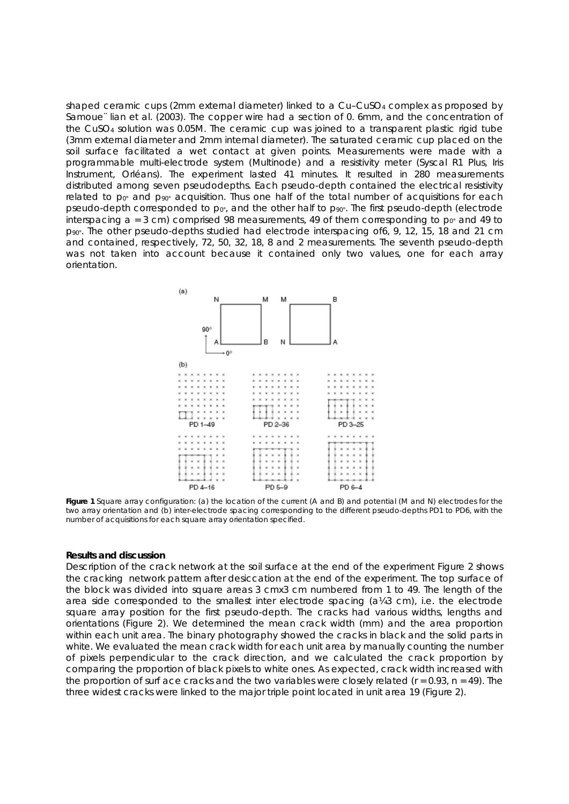shaped ceramic cups (2mm external diameter) linked to a Cu-CuSO<sub>4</sub> complex as proposed by Samoue¨ lian et al. (2003). The copper wire had a section of 0. 6mm, and the concentration of the CuSO4 solution was 0.05M. The ceramic cup was joined to a transparent plastic rigid tube (3mm external diameter and 2mm internal diameter). The saturated ceramic cup placed on the soil surface facilitated a wet contact at given points. Measurements were made with a programmable multi-electrode system (Multinode) and a resistivity meter (Syscal R1 Plus, Iris Instrument, Orléans). The experiment lasted 41 minutes. It resulted in 280 measurements distributed among seven pseudodepths. Each pseudo-depth contained the electrical resistivity related to  $p_0$ <sup>o</sup> and  $p_{90}$ <sup>o</sup> acquisition. Thus one half of the total number of acquisitions for each pseudo-depth corresponded to  $p_{0}$ °, and the other half to  $p_{0}$ °. The first pseudo-depth (electrode interspacing  $a = 3$  cm) comprised 98 measurements, 49 of them corresponding to  $p_0$ <sup>2</sup> and 49 to *p*90°. The other pseudo-depths studied had electrode interspacing of6, 9, 12, 15, 18 and 21 cm and contained, respectively, 72, 50, 32, 18, 8 and 2 measurements. The seventh pseudo-depth was not taken into account because it contained only two values, one for each array orientation.



**Figure 1** Square array configuration: (a) the location of the current (A and B) and potential (M and N) electrodes for the two array orientation and (b) inter-electrode spacing corresponding to the different pseudo-depths PD1 to PD6, with the number of acquisitions for each square array orientation specified.

#### **Results and discussion**

Description of the crack network at the soil surface at the end of the experiment Figure 2 shows the cracking network pattern after desiccation at the end of the experiment. The top surface of the block was divided into square areas 3 cmx3 cm numbered from 1 to 49. The length of the area side corresponded to the smallest inter electrode spacing  $(a\frac{1}{4}3 \text{ cm})$ , i.e. the electrode square array position for the first pseudo-depth. The cracks had various widths, lengths and orientations (Figure 2). We determined the mean crack width (mm) and the area proportion within each unit area. The binary photography showed the cracks in black and the solid parts in white. We evaluated the mean crack width for each unit area by manually counting the number of pixels perpendicular to the crack direction, and we calculated the crack proportion by comparing the proportion of black pixels to white ones. As expected, crack width increased with the proportion of surf ace cracks and the two variables were closely related (*r* = 0.93, *n* = 49). The three widest cracks were linked to the major triple point located in unit area 19 (Figure 2).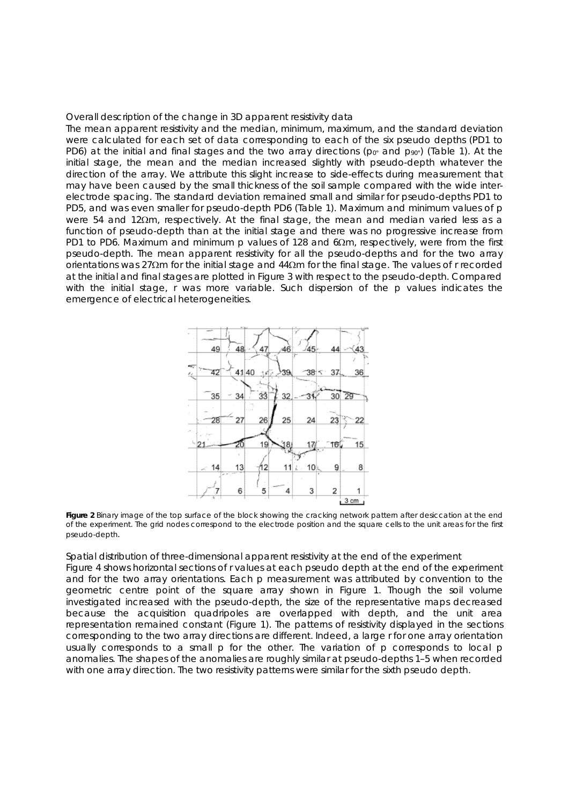#### *Overall description of the change in 3D apparent resistivity data*

The mean apparent resistivity and the median, minimum, maximum, and the standard deviation were calculated for each set of data corresponding to each of the six pseudo depths (PD1 to PD6) at the initial and final stages and the two array directions ( $p_0$ ° and  $p_{90}$ °) (Table 1). At the initial stage, the mean and the median increased slightly with pseudo-depth whatever the direction of the array. We attribute this slight increase to side-effects during measurement that may have been caused by the small thickness of the soil sample compared with the wide interelectrode spacing. The standard deviation remained small and similar for pseudo-depths PD1 to PD5, and was even smaller for pseudo-depth PD6 (Table 1). Maximum and minimum values of *p* were 54 and 12Ωm, respectively. At the final stage, the mean and median varied less as a function of pseudo-depth than at the initial stage and there was no progressive increase from PD1 to PD6. Maximum and minimum *p* values of 128 and 6Ωm, respectively, were from the first pseudo-depth. The mean apparent resistivity for all the pseudo-depths and for the two array orientations was 27 $\Omega$ m for the initial stage and 44 $\Omega$ m for the final stage. The values of r recorded at the initial and final stages are plotted in Figure 3 with respect to the pseudo-depth. Compared with the initial stage, r was more variable. Such dispersion of the *p* values indicates the emergence of electrical heterogeneities.



**Figure 2** Binary image of the top surface of the block showing the cracking network pattern after desiccation at the end of the experiment. The grid nodes correspond to the electrode position and the square cells to the unit areas for the first pseudo-depth.

#### Spatial distribution of three-dimensional apparent resistivity at the end of the experiment

Figure 4 shows horizontal sections of r values at each pseudo depth at the end of the experiment and for the two array orientations. Each *p* measurement was attributed by convention to the geometric centre point of the square array shown in Figure 1. Though the soil volume investigated increased with the pseudo-depth, the size of the representative maps decreased because the acquisition quadripoles are overlapped with depth, and the unit area representation remained constant (Figure 1). The patterns of resistivity displayed in the sections corresponding to the two array directions are different. Indeed, a large r for one array orientation usually corresponds to a small *p* for the other. The variation of *p* corresponds to local *p* anomalies. The shapes of the anomalies are roughly similar at pseudo-depths 1–5 when recorded with one array direction. The two resistivity patterns were similar for the sixth pseudo depth.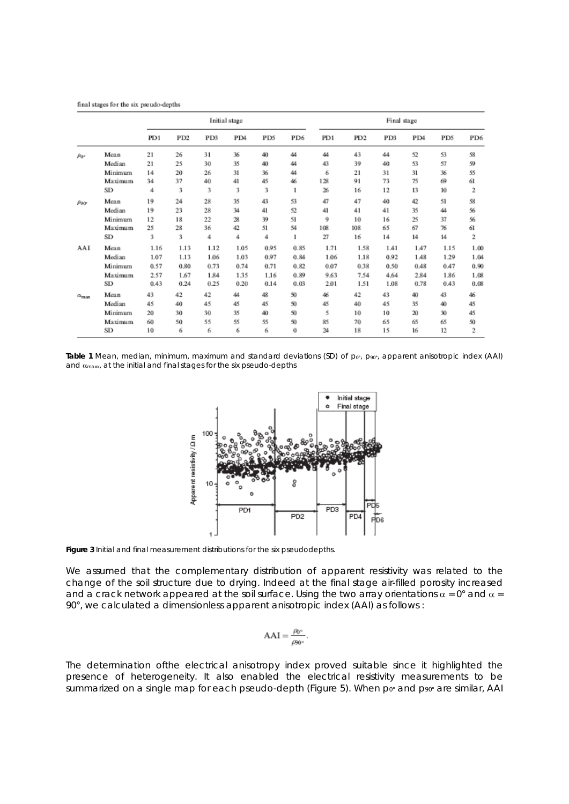final stages for the six pseudo-depths

|                    |         | Initial stage |                 |      |      |      |              | Final stage |                 |      |               |      |              |
|--------------------|---------|---------------|-----------------|------|------|------|--------------|-------------|-----------------|------|---------------|------|--------------|
|                    |         | PD1           | PD <sub>2</sub> | PD3  | PD4  | PD5  | PD6          | PD1         | PD <sub>2</sub> | PD3  | PD4           | PD5  | PD6          |
| $\rho_{0}$ .       | Mean    | 21            | 26              | 31   | 36   | 40   | 44           | 44          | 43              | 44   | 52            | 53   | 58           |
|                    | Median  | 21            | 25              | 30   | 35   | 40   | 44           | 43          | 39              | 40   | 53            | 57   | 59           |
|                    | Minimum | 14            | 20              | 26   | 31   | 36   | 44           | 6           | 21              | 31   | 31            | 36   | 55           |
|                    | Maximum | 34            | 37              | 40   | 41   | 45   | 46           | 128         | 91              | 73   | 75            | 69   | 61           |
|                    | SD      | 4             | 3               | 3    | 3    | 3    | $\mathbf{1}$ | 26          | 16              | 12   | 13            | 10   | 2            |
| $\rho_{90}$        | Mean    | 19            | 24              | 28   | 35   | 43   | 53           | 47          | 47              | 40   | 42            | 51   | 58           |
|                    | Median  | 19            | 23              | 28   | 34   | 41   | 52           | 41          | 41              | 41   | 35            | 44   | 56           |
|                    | Minimum | 12            | 18              | 22   | 28   | 39   | 51           | 9           | 10              | 16   | 25            | 37   | 56           |
|                    | Maximum | 25            | 28              | 36   | 42   | 51   | 54           | 108         | 108             | 65   | 67            | 76   | 61           |
|                    | SD      | 3             | 3               | 4    | 4    | 4    | $\mathbf{1}$ | 27          | 16              | 14   | 14            | 14   | $\mathbf{2}$ |
| AAI                | Mean    | 1.16          | 1.13            | 1.12 | 1.05 | 0.95 | 0.85         | 1.71        | 1.58            | 1.41 | 1.47          | 1.15 | 1.00         |
|                    | Median  | 1.07          | 1.13            | 1.06 | 1.03 | 0.97 | 0.84         | 1.06        | 1.18            | 0.92 | 1.48          | 1.29 | 1.04         |
|                    | Minimum | 0.57          | 0.80            | 0.73 | 0.74 | 0.71 | 0.82         | 0.07        | 0.38            | 0.50 | 0.48          | 0.47 | 0.90         |
|                    | Maximum | 2.57          | 1.67            | 1.84 | 1.35 | 1.16 | 0.89         | 9.63        | 7.54            | 4.64 | 2.84          | 1.86 | 1.08         |
|                    | SD      | 0.43          | 0.24            | 0.25 | 0.20 | 0.14 | 0.03         | 2.01        | 1.51            | 1.08 | 0.78          | 0.43 | 0.08         |
| $\alpha_{\rm max}$ | Mean    | 43            | 42              | 42   | 44   | 48   | 50           | 46          | 42              | 43   | 40            | 43   | 46           |
|                    | Median  | 45            | 40              | 45   | 45   | 45   | 50           | 45          | 40              | 45   | 35            | 40   | 45           |
|                    | Minimum | 20            | 30              | 30   | 35   | 40   | 50           | 5           | 10              | 10   | $\mathbf{20}$ | 30   | 45           |
|                    | Maximum | 60            | 50              | 55   | 55   | 55   | 50           | 85          | 70              | 65   | 65            | 65   | 50           |
|                    | SD      | 10            | 6               | 6    | 6    | 6    | 0            | 24          | 18              | 15   | 16            | 12   | $\mathbf{2}$ |

Table 1 Mean, median, minimum, maximum and standard deviations (SD) of  $p_{0}$ <sup>0</sup>,  $p_{90}$ <sup>o</sup>, apparent anisotropic index (AAI) and  $\alpha_{\text{max}}$ , at the initial and final stages for the six pseudo-depths



**Figure 3** Initial and final measurement distributions for the six pseudodepths.

We assumed that the complementary distribution of apparent resistivity was related to the change of the soil structure due to drying. Indeed at the final stage air-filled porosity increased and a crack network appeared at the soil surface. Using the two array orientations  $\alpha = 0^{\circ}$  and  $\alpha =$ 90°, we calculated a dimensionless apparent anisotropic index (AAI) as follows :

$$
AAI = \frac{\rho_0}{\rho_{90^\circ}}.
$$

The determination ofthe electrical anisotropy index proved suitable since it highlighted the presence of heterogeneity. It also enabled the electrical resistivity measurements to be summarized on a single map for each pseudo-depth (Figure 5). When  $p_0$ <sup>2</sup> and  $p_{00}$ <sup>2</sup> are similar, AAI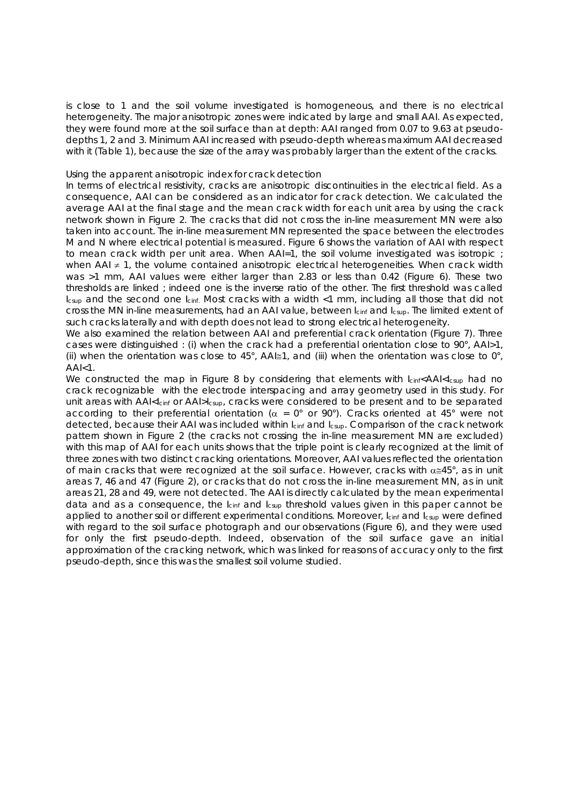is close to 1 and the soil volume investigated is homogeneous, and there is no electrical heterogeneity. The major anisotropic zones were indicated by large and small AAI. As expected, they were found more at the soil surface than at depth: AAI ranged from 0.07 to 9.63 at pseudodepths 1, 2 and 3. Minimum AAI increased with pseudo-depth whereas maximum AAI decreased with it (Table 1), because the size of the array was probably larger than the extent of the cracks.

#### *Using the apparent anisotropic index for crack detection*

In terms of electrical resistivity, cracks are anisotropic discontinuities in the electrical field. As a consequence, AAI can be considered as an indicator for crack detection. We calculated the average AAI at the final stage and the mean crack width for each unit area by using the crack network shown in Figure 2. The cracks that did not cross the in-line measurement MN were also taken into account. The in-line measurement MN represented the space between the electrodes M and N where electrical potential is measured. Figure 6 shows the variation of AAI with respect to mean crack width per unit area. When AAI=1, the soil volume investigated was isotropic; when AAI ≠ 1, the volume contained anisotropic electrical heterogeneities. When crack width was >1 mm, AAI values were either larger than 2.83 or less than 0.42 (Figure 6). These two thresholds are linked ; indeed one is the inverse ratio of the other. The first threshold was called *I*<sub>csup</sub> and the second one *I*<sub>cinf.</sub> Most cracks with a width <1 mm, including all those that did not cross the MN in-line measurements, had an AAI value, between *I<sub>cinf</sub>* and *I<sub>csup</sub>*. The limited extent of such cracks laterally and with depth does not lead to strong electrical heterogeneity.

We also examined the relation between AAI and preferential crack orientation (Figure 7). Three cases were distinguished : (i) when the crack had a preferential orientation close to 90°, AAI>1, (ii) when the orientation was close to 45°, AAI $\equiv$ 1, and (iii) when the orientation was close to 0°,  $AAI<1$ .

We constructed the map in Figure 8 by considering that elements with  $\frac{1}{\text{C}}$  Icinf<AAI<Icsup had no crack recognizable with the electrode interspacing and array geometry used in this study. For unit areas with AAI<*I*<sub>cinf</sub> or AAI>*I*<sub>csup</sub>, cracks were considered to be present and to be separated according to their preferential orientation ( $\alpha = 0^{\circ}$  or 90°). Cracks oriented at 45° were not detected, because their AAI was included within *Icinf* and *Icsup*. Comparison of the crack network pattern shown in Figure 2 (the cracks not crossing the in-line measurement MN are excluded) with this map of AAI for each units shows that the triple point is clearly recognized at the limit of three zones with two distinct cracking orientations. Moreover, AAI values reflected the orientation of main cracks that were recognized at the soil surface. However, cracks with  $\alpha \approx 45^\circ$ , as in unit areas 7, 46 and 47 (Figure 2), or cracks that do not cross the in-line measurement MN, as in unit areas 21, 28 and 49, were not detected. The AAI is directly calculated by the mean experimental data and as a consequence, the *I*<sub>cinf</sub> and *I*<sub>csup</sub> threshold values given in this paper cannot be applied to another soil or different experimental conditions. Moreover, *I*<sub>cinf</sub> and *I*<sub>csup</sub> were defined with regard to the soil surface photograph and our observations (Figure 6), and they were used for only the first pseudo-depth. Indeed, observation of the soil surface gave an initial approximation of the cracking network, which was linked for reasons of accuracy only to the first pseudo-depth, since this was the smallest soil volume studied.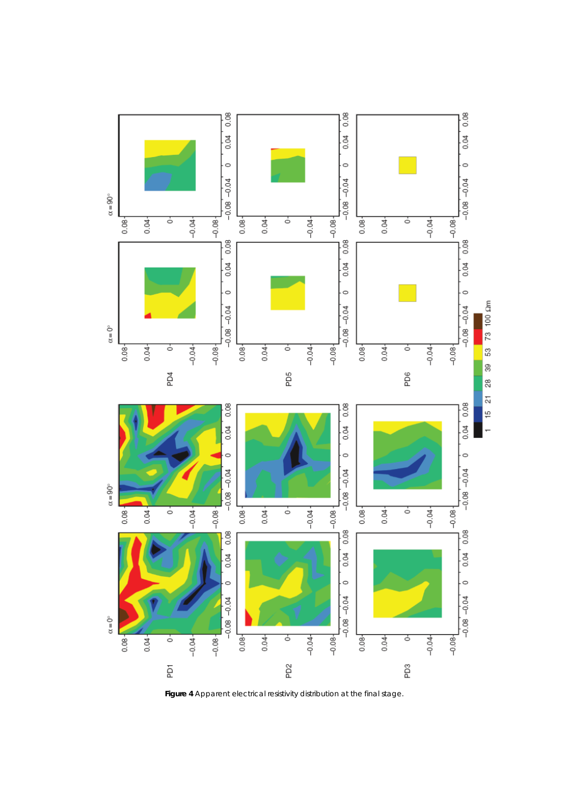

**Figure 4** Apparent electrical resistivity distribution at the final stage.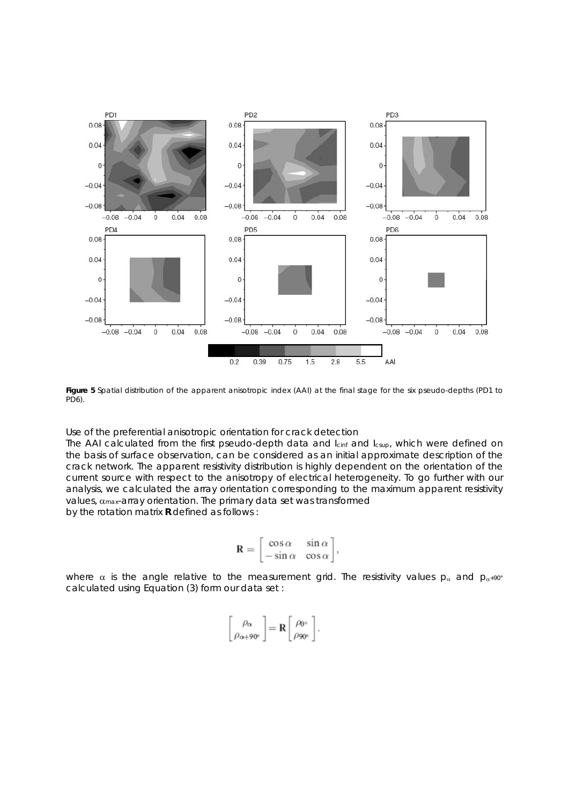

**Figure 5** Spatial distribution of the apparent anisotropic index (AAI) at the final stage for the six pseudo-depths (PD1 to PD6).

## *Use of the preferential anisotropic orientation for crack detection*

The AAI calculated from the first pseudo-depth data and *Icinf* and *Icsup*, which were defined on the basis of surface observation, can be considered as an initial approximate description of the crack network. The apparent resistivity distribution is highly dependent on the orientation of the current source with respect to the anisotropy of electrical heterogeneity. To go further with our analysis, we calculated the array orientation corresponding to the maximum apparent resistivity values, αmax-array orientation. The primary data set was transformed by the rotation matrix **R** defined as follows :

$$
\mathbf{R} = \begin{bmatrix} \cos \alpha & \sin \alpha \\ -\sin \alpha & \cos \alpha \end{bmatrix},
$$

where  $\alpha$  is the angle relative to the measurement grid. The resistivity values  $p_{\alpha}$  and  $p_{\alpha+90^{\circ}}$ calculated using Equation (3) form our data set :

$$
\begin{bmatrix} \rho_{\alpha} \\ \rho_{\alpha+90^{\circ}} \end{bmatrix} = \mathbf{R} \begin{bmatrix} \rho_{0^{\circ}} \\ \rho_{90^{\circ}} \end{bmatrix}.
$$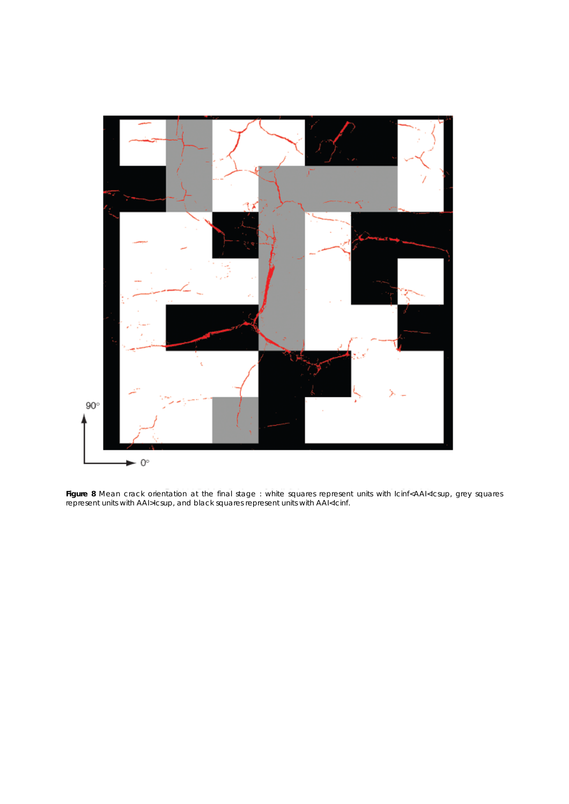

**Figure 8** Mean crack orientation at the final stage : white squares represent units with Icinf<AAI<Icsup, grey squares represent units with AAI>Icsup, and black squares represent units with AAI<Icinf.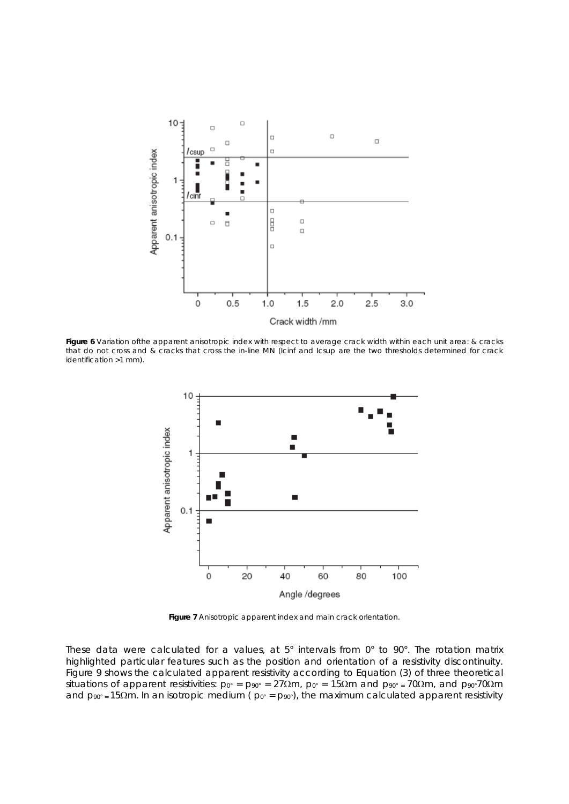

**Figure 6** Variation ofthe apparent anisotropic index with respect to average crack width within each unit area: & cracks that do not cross and & cracks that cross the in-line MN (Icinf and Icsup are the two thresholds determined for crack identification >1 mm).



**Figure 7** Anisotropic apparent index and main crack orientation.

These data were calculated for a values, at 5° intervals from 0° to 90°. The rotation matrix highlighted particular features such as the position and orientation of a resistivity discontinuity. Figure 9 shows the calculated apparent resistivity according to Equation (3) of three theoretical situations of apparent resistivities: *p*0° = *p*90° = 27Ωm, *p*0° = 15Ωm and *p*90° = 70Ωm, and *p*90°70Ωm and *p*90° = 15Ωm. In an isotropic medium ( *p*0° = *p*90°), the maximum calculated apparent resistivity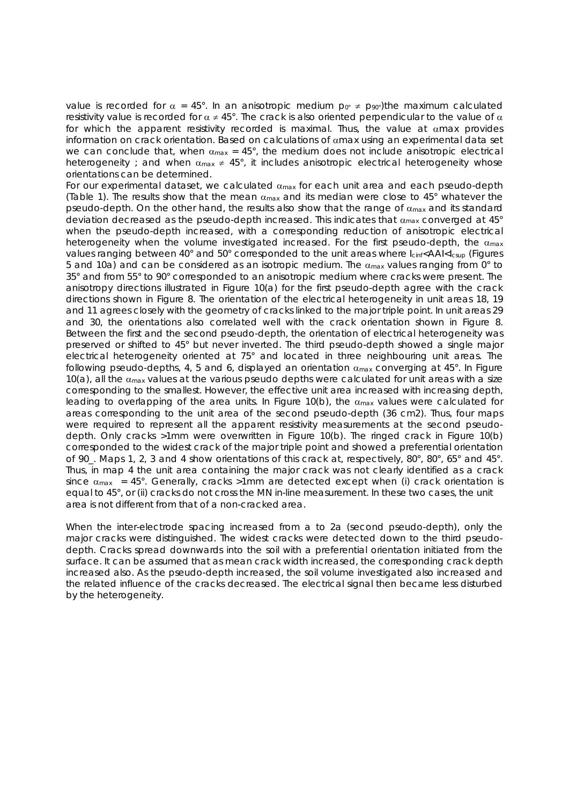value is recorded for  $\alpha = 45^{\circ}$ . In an anisotropic medium  $p_0 \neq p_{90}$ ; the maximum calculated resistivity value is recorded for  $\alpha \neq 45^{\circ}$ . The crack is also oriented perpendicular to the value of  $\alpha$ for which the apparent resistivity recorded is maximal. Thus, the value at  $\alpha$ max provides information on crack orientation. Based on calculations of  $\alpha$ max using an experimental data set we can conclude that, when  $\alpha_{\text{max}} = 45^{\circ}$ , the medium does not include anisotropic electrical heterogeneity ; and when  $\alpha_{\text{max}} \neq 45^{\circ}$ , it includes anisotropic electrical heterogeneity whose orientations can be determined.

For our experimental dataset, we calculated  $\alpha_{\text{max}}$  for each unit area and each pseudo-depth (Table 1). The results show that the mean  $\alpha_{\text{max}}$  and its median were close to 45° whatever the pseudo-depth. On the other hand, the results also show that the range of  $\alpha_{\text{max}}$  and its standard deviation decreased as the pseudo-depth increased. This indicates that  $\alpha_{\text{max}}$  converged at 45° when the pseudo-depth increased, with a corresponding reduction of anisotropic electrical heterogeneity when the volume investigated increased. For the first pseudo-depth, the  $\alpha_{\text{max}}$ values ranging between 40° and 50° corresponded to the unit areas where  $I_{\text{c}}/A$ AI< $I_{\text{cusp}}$  (Figures 5 and 10a) and can be considered as an isotropic medium. The  $\alpha_{\text{max}}$  values ranging from 0° to 35° and from 55° to 90° corresponded to an anisotropic medium where cracks were present. The anisotropy directions illustrated in Figure 10(a) for the first pseudo-depth agree with the crack directions shown in Figure 8. The orientation of the electrical heterogeneity in unit areas 18, 19 and 11 agrees closely with the geometry of cracks linked to the major triple point. In unit areas 29 and 30, the orientations also correlated well with the crack orientation shown in Figure 8. Between the first and the second pseudo-depth, the orientation of electrical heterogeneity was preserved or shifted to 45° but never inverted. The third pseudo-depth showed a single major electrical heterogeneity oriented at 75° and located in three neighbouring unit areas. The following pseudo-depths, 4, 5 and 6, displayed an orientation  $\alpha_{\text{max}}$  converging at 45°. In Figure 10(a), all the  $\alpha_{\text{max}}$  values at the various pseudo depths were calculated for unit areas with a size corresponding to the smallest. However, the effective unit area increased with increasing depth, leading to overlapping of the area units. In Figure 10(b), the  $\alpha_{\text{max}}$  values were calculated for areas corresponding to the unit area of the second pseudo-depth (36 cm2). Thus, four maps were required to represent all the apparent resistivity measurements at the second pseudodepth. Only cracks >1mm were overwritten in Figure 10(b). The ringed crack in Figure 10(b) corresponded to the widest crack of the major triple point and showed a preferential orientation of 90\_. Maps 1, 2, 3 and 4 show orientations of this crack at, respectively, 80°, 80°, 65° and 45°. Thus, in map 4 the unit area containing the major crack was not clearly identified as a crack since  $\alpha_{\text{max}}$  = 45°. Generally, cracks >1mm are detected except when (i) crack orientation is equal to 45°, or (ii) cracks do not cross the MN in-line measurement. In these two cases, the unit area is not different from that of a non-cracked area.

When the inter-electrode spacing increased from *a* to 2*a* (second pseudo-depth), only the major cracks were distinguished. The widest cracks were detected down to the third pseudodepth. Cracks spread downwards into the soil with a preferential orientation initiated from the surface. It can be assumed that as mean crack width increased, the corresponding crack depth increased also. As the pseudo-depth increased, the soil volume investigated also increased and the related influence of the cracks decreased. The electrical signal then became less disturbed by the heterogeneity.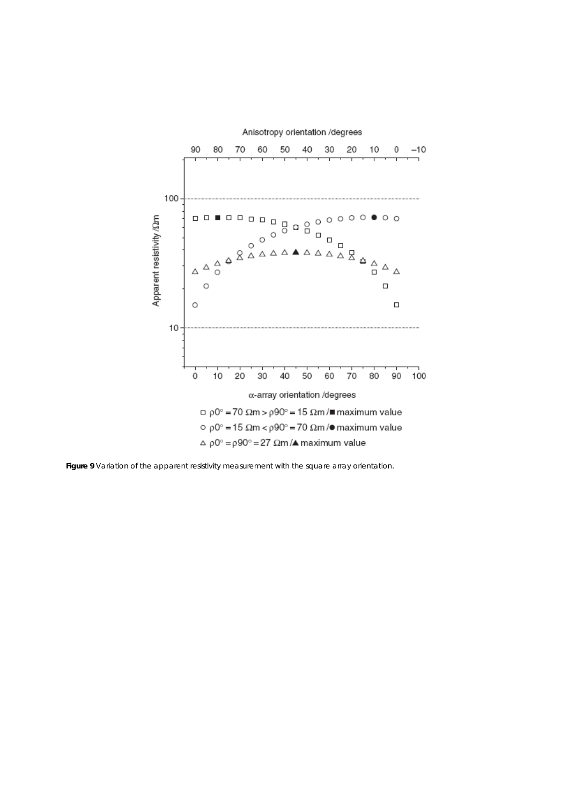

Figure 9 Variation of the apparent resistivity measurement with the square array orientation.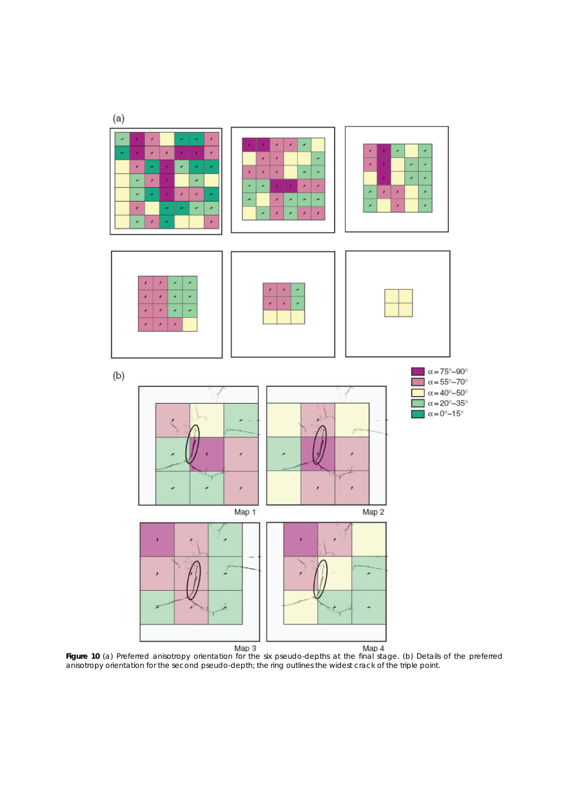

**Figure 10** (a) Preferred anisotropy orientation for the six pseudo-depths at the final stage. (b) Details of the preferred anisotropy orientation for the second pseudo-depth; the ring outlines the widest crack of the triple point.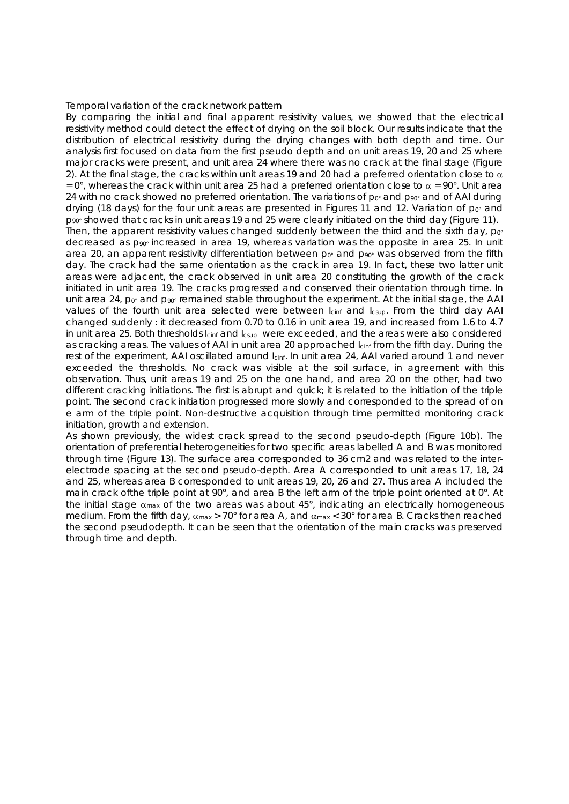#### *Temporal variation of the crack network pattern*

By comparing the initial and final apparent resistivity values, we showed that the electrical resistivity method could detect the effect of drying on the soil block. Our results indicate that the distribution of electrical resistivity during the drying changes with both depth and time. Our analysis first focused on data from the first pseudo depth and on unit areas 19, 20 and 25 where major cracks were present, and unit area 24 where there was no crack at the final stage (Figure 2). At the final stage, the cracks within unit areas 19 and 20 had a preferred orientation close to  $\alpha$ = 0°, whereas the crack within unit area 25 had a preferred orientation close to  $\alpha$  = 90°. Unit area 24 with no crack showed no preferred orientation. The variations of  $p_0$ <sup>o</sup> and  $p_{90}$ <sup>o</sup> and of AAI during drying (18 days) for the four unit areas are presented in Figures 11 and 12. Variation of  $p_0$ <sup>o</sup> and  $p_{90}$ ° showed that cracks in unit areas 19 and 25 were clearly initiated on the third day (Figure 11). Then, the apparent resistivity values changed suddenly between the third and the sixth day,  $p_0$ <sup>o</sup> decreased as  $p_{90}$ <sup>o</sup> increased in area 19, whereas variation was the opposite in area 25. In unit area 20, an apparent resistivity differentiation between  $p_0$ <sup>o</sup> and  $p_{90}$ <sup>o</sup> was observed from the fifth day. The crack had the same orientation as the crack in area 19. In fact, these two latter unit areas were adjacent, the crack observed in unit area 20 constituting the growth of the crack initiated in unit area 19. The cracks progressed and conserved their orientation through time. In unit area 24,  $p_0$ <sup>o</sup> and  $p_{90}$ <sup>o</sup> remained stable throughout the experiment. At the initial stage, the AAI values of the fourth unit area selected were between *I*<sub>cinf</sub> and *I*<sub>csup</sub>. From the third day AAI changed suddenly : it decreased from 0.70 to 0.16 in unit area 19, and increased from 1.6 to 4.7 in unit area 25. Both thresholds *Icinf* and *Icsup* were exceeded, and the areas were also considered as cracking areas. The values of AAI in unit area 20 approached *I*<sub>cinf</sub> from the fifth day. During the rest of the experiment, AAI oscillated around *I*<sub>cinf</sub>. In unit area 24, AAI varied around 1 and never exceeded the thresholds. No crack was visible at the soil surface, in agreement with this observation. Thus, unit areas 19 and 25 on the one hand, and area 20 on the other, had two different cracking initiations. The first is abrupt and quick; it is related to the initiation of the triple point. The second crack initiation progressed more slowly and corresponded to the spread of on e arm of the triple point. Non-destructive acquisition through time permitted monitoring crack initiation, growth and extension.

As shown previously, the widest crack spread to the second pseudo-depth (Figure 10b). The orientation of preferential heterogeneities for two specific areas labelled A and B was monitored through time (Figure 13). The surface area corresponded to 36 cm2 and was related to the interelectrode spacing at the second pseudo-depth. Area A corresponded to unit areas 17, 18, 24 and 25, whereas area B corresponded to unit areas 19, 20, 26 and 27. Thus area A included the main crack ofthe triple point at 90°, and area B the left arm of the triple point oriented at 0°. At the initial stage  $\alpha_{\text{max}}$  of the two areas was about 45°, indicating an electrically homogeneous medium. From the fifth day,  $\alpha_{\text{max}} > 70^{\circ}$  for area A, and  $\alpha_{\text{max}} < 30^{\circ}$  for area B. Cracks then reached the second pseudodepth. It can be seen that the orientation of the main cracks was preserved through time and depth.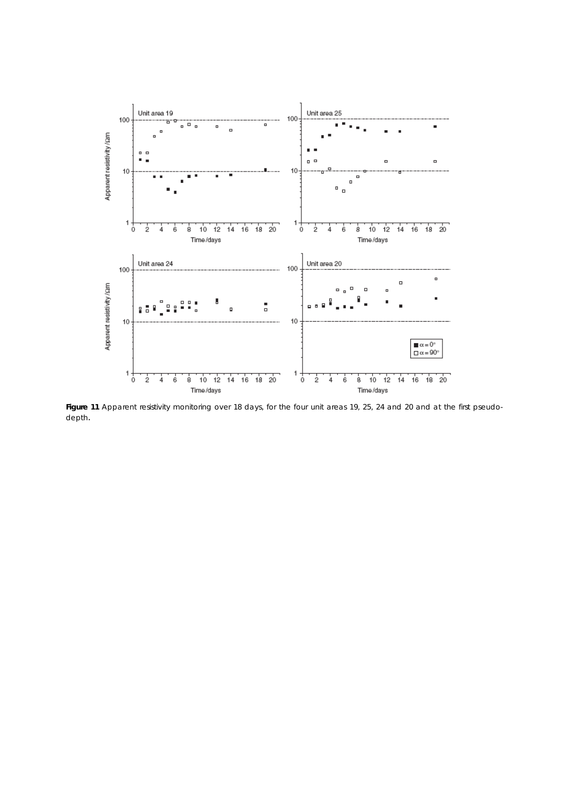

**Figure 11** Apparent resistivity monitoring over 18 days, for the four unit areas 19, 25, 24 and 20 and at the first pseudodepth.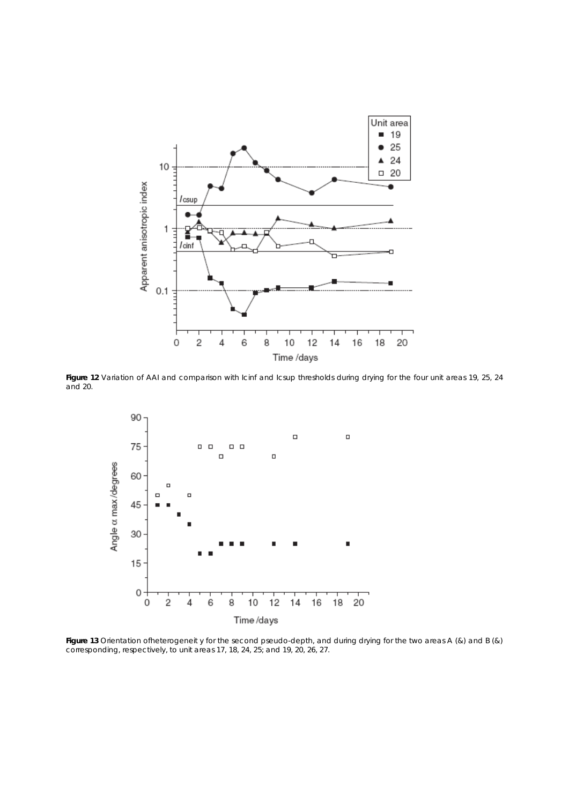

Figure 12 Variation of AAI and comparison with Icinf and Icsup thresholds during drying for the four unit areas 19, 25, 24 and 20.



**Figure 13** Orientation ofheterogeneit y for the second pseudo-depth, and during drying for the two areas A (&) and B (&) corresponding, respectively, to unit areas 17, 18, 24, 25; and 19, 20, 26, 27.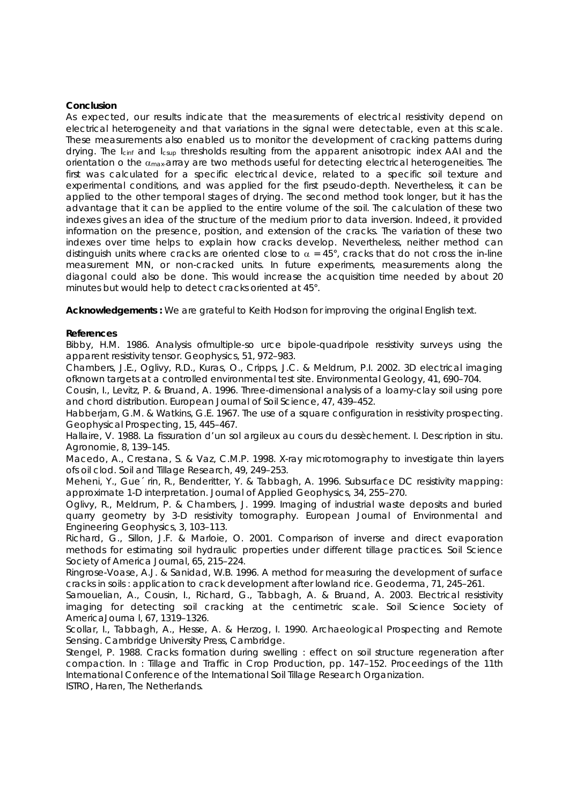### **Conclusion**

As expected, our results indicate that the measurements of electrical resistivity depend on electrical heterogeneity and that variations in the signal were detectable, even at this scale. These measurements also enabled us to monitor the development of cracking patterns during drying. The *I<sub>cinf</sub>* and *I<sub>csup</sub>* thresholds resulting from the apparent anisotropic index AAI and the orientation o the  $\alpha_{\text{max}}$ -array are two methods useful for detecting electrical heterogeneities. The first was calculated for a specific electrical device, related to a specific soil texture and experimental conditions, and was applied for the first pseudo-depth. Nevertheless, it can be applied to the other temporal stages of drying. The second method took longer, but it has the advantage that it can be applied to the entire volume of the soil. The calculation of these two indexes gives an idea of the structure of the medium prior to data inversion. Indeed, it provided information on the presence, position, and extension of the cracks. The variation of these two indexes over time helps to explain how cracks develop. Nevertheless, neither method can distinguish units where cracks are oriented close to  $\alpha = 45^{\circ}$ , cracks that do not cross the in-line measurement MN, or non-cracked units. In future experiments, measurements along the diagonal could also be done. This would increase the acquisition time needed by about 20 minutes but would help to detect cracks oriented at 45°.

Acknowledgements : We are grateful to Keith Hodson for improving the original English text.

## **References**

Bibby, H.M. 1986. Analysis ofmultiple-so urce bipole-quadripole resistivity surveys using the apparent resistivity tensor. Geophysics, 51, 972–983.

Chambers, J.E., Oglivy, R.D., Kuras, O., Cripps, J.C. & Meldrum, P.I. 2002. 3D electrical imaging ofknown targets at a controlled environmental test site. Environmental Geology, 41, 690–704.

Cousin, I., Levitz, P. & Bruand, A. 1996. Three-dimensional analysis of a loamy-clay soil using pore and chord distribution. European Journal of Soil Science, 47, 439–452.

Habberjam, G.M. & Watkins, G.E. 1967. The use of a square configuration in resistivity prospecting. Geophysical Prospecting, 15, 445–467.

Hallaire, V. 1988. La fissuration d'un sol argileux au cours du dessèchement. I. Description in situ. Agronomie, 8, 139–145.

Macedo, A., Crestana, S. & Vaz, C.M.P. 1998. X-ray microtomography to investigate thin layers ofs oil clod. Soil and Tillage Research, 49, 249–253.

Meheni, Y., Gue´ rin, R., Benderitter, Y. & Tabbagh, A. 1996. Subsurface DC resistivity mapping: approximate 1-D interpretation. Journal of Applied Geophysics, 34, 255–270.

Oglivy, R., Meldrum, P. & Chambers, J. 1999. Imaging of industrial waste deposits and buried quarry geometry by 3-D resistivity tomography. European Journal of Environmental and Engineering Geophysics, 3, 103–113.

Richard, G., Sillon, J.F. & Marloie, O. 2001. Comparison of inverse and direct evaporation methods for estimating soil hydraulic properties under different tillage practices. Soil Science Society of America Journal, 65, 215–224.

Ringrose-Voase, A.J. & Sanidad, W.B. 1996. A method for measuring the development of surface cracks in soils : application to crack development after lowland rice. Geoderma, 71, 245–261.

Samouelian, A., Cousin, I., Richard, G., Tabbagh, A. & Bruand, A. 2003. Electrical resistivity imaging for detecting soil cracking at the centimetric scale. Soil Science Society of AmericaJourna l, 67, 1319–1326.

Scollar, I., Tabbagh, A., Hesse, A. & Herzog, I. 1990. Archaeological Prospecting and Remote Sensing. Cambridge University Press, Cambridge.

Stengel, P. 1988. Cracks formation during swelling : effect on soil structure regeneration after compaction. In : Tillage and Traffic in Crop Production, pp. 147–152. Proceedings of the 11th International Conference of the International Soil Tillage Research Organization.

ISTRO, Haren, The Netherlands.